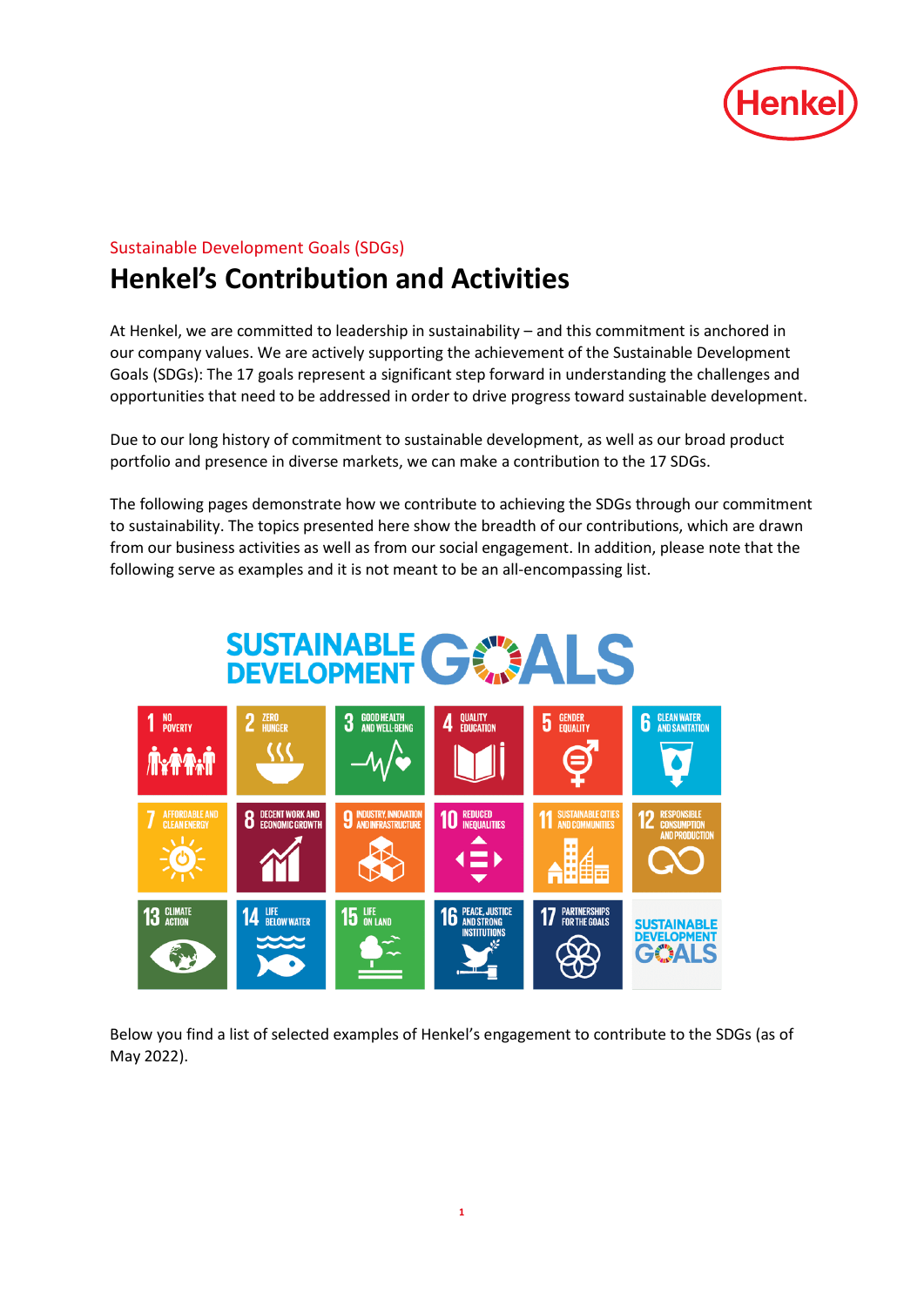

# Sustainable Development Goals (SDGs)

# **Henkel's Contribution and Activities**

At Henkel, we are committed to leadership in sustainability – and this commitment is anchored in our company values. We are actively supporting the achievement of the Sustainable Development Goals [\(SDGs\)](http://www.un.org/sustainabledevelopment/sustainable-development-goals/): The 17 goals represent a significant step forward in understanding the challenges and opportunities that need to be addressed in order to drive progress toward sustainable development.

Due to our long history of commitment to sustainable development, as well as our broad product portfolio and presence in diverse markets, we can make a contribution to the 17 SDGs.

The following pages demonstrate how we contribute to achieving the SDGs through our commitment to sustainability. The topics presented here show the breadth of our contributions, which are drawn from our business activities as well as from our social engagement. In addition, please note that the following serve as examples and it is not meant to be an all-encompassing list.



Below you find a list of selected examples of Henkel's engagement to contribute to the SDGs (as of May 2022).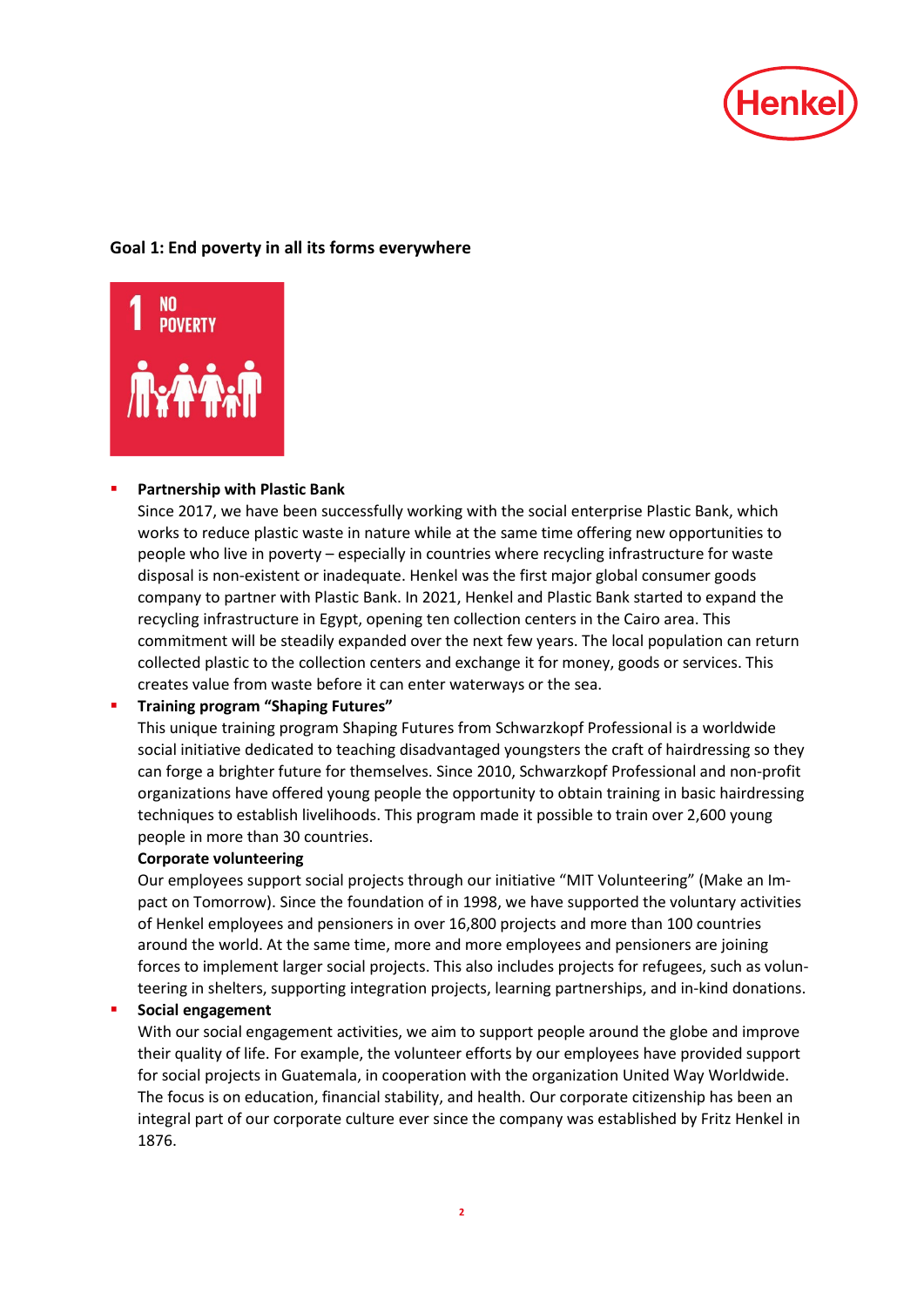

# **Goal 1: End poverty in all its forms everywhere**



#### **Partnership with Plastic Bank**

Since 2017, we have been successfully working with the social enterprise Plastic Bank, which works to reduce plastic waste in nature while at the same time offering new opportunities to people who live in poverty – especially in countries where recycling infrastructure for waste disposal is non-existent or inadequate. Henkel was the first major global consumer goods company to partner with Plastic Bank. In 2021, Henkel and Plastic Bank started to expand the recycling infrastructure in Egypt, opening ten collection centers in the Cairo area. This commitment will be steadily expanded over the next few years. The local population can return collected plastic to the collection centers and exchange it for money, goods or services. This creates value from waste before it can enter waterways or the sea.

#### **Training program "Shaping Futures"**

This unique training program Shaping Futures from Schwarzkopf Professional is a worldwide social initiative dedicated to teaching disadvantaged youngsters the craft of hairdressing so they can forge a brighter future for themselves. Since 2010, Schwarzkopf Professional and non-profit organizations have offered young people the opportunity to obtain training in basic hairdressing techniques to establish livelihoods. This program made it possible to train over 2,600 young people in more than 30 countries.

#### **Corporate volunteering**

Our employees support social projects through our initiative "MIT Volunteering" (Make an Impact on Tomorrow). Since the foundation of in 1998, we have supported the voluntary activities of Henkel employees and pensioners in over 16,800 projects and more than 100 countries around the world. At the same time, more and more employees and pensioners are joining forces to implement larger social projects. This also includes projects for refugees, such as volunteering in shelters, supporting integration projects, learning partnerships, and in-kind donations.

#### **Social engagement**

With our social engagement activities, we aim to support people around the globe and improve their quality of life. For example, the volunteer efforts by our employees have provided support for social projects in Guatemala, in cooperation with the organization United Way Worldwide. The focus is on education, financial stability, and health. Our corporate citizenship has been an integral part of our corporate culture ever since the company was established by Fritz Henkel in 1876.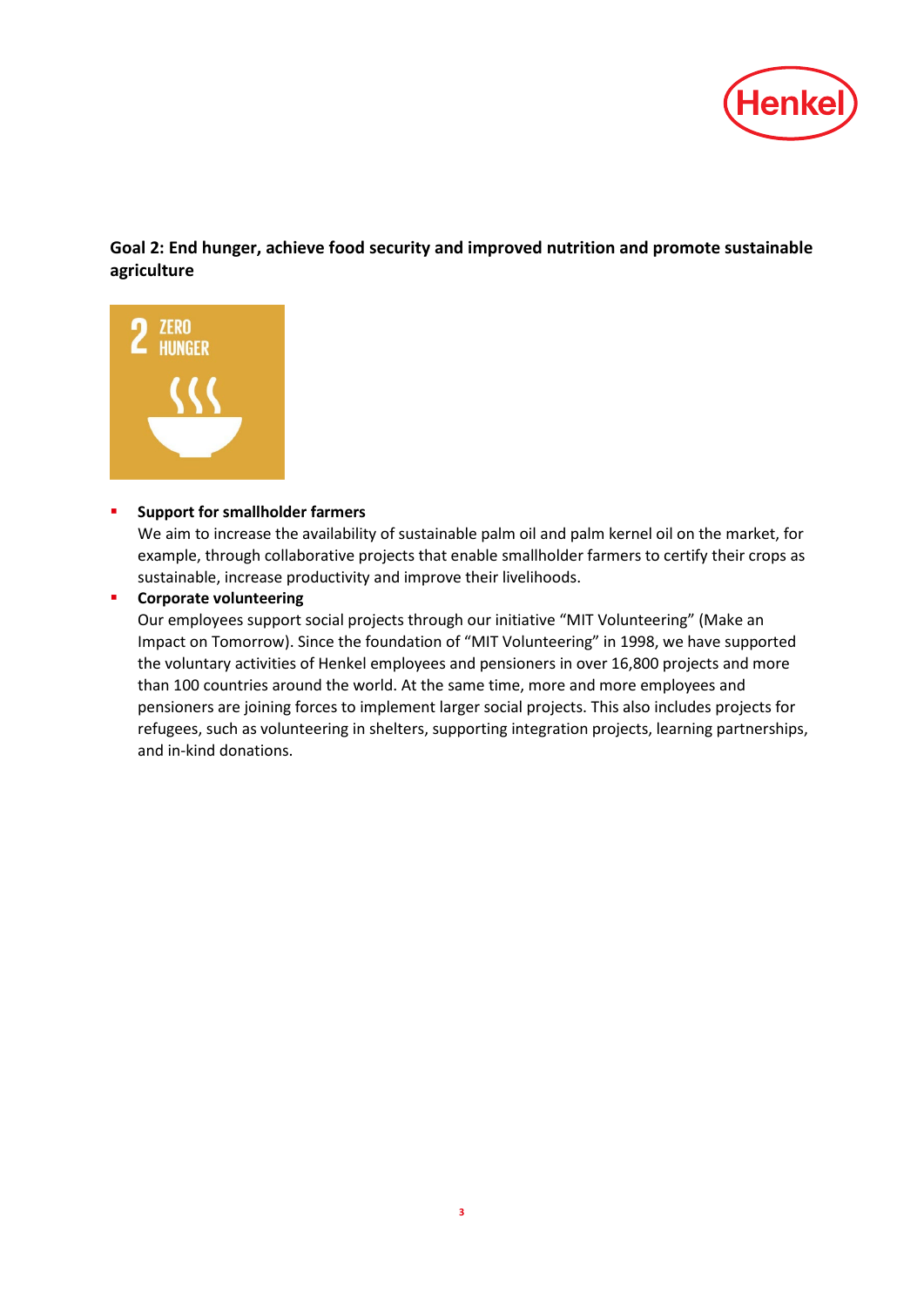

**Goal 2: End hunger, achieve food security and improved nutrition and promote sustainable agriculture**



#### **F** Support for smallholder farmers

We aim to increase the availability of sustainable palm oil and palm kernel oil on the market, for example, through collaborative projects that enable smallholder farmers to certify their crops as sustainable, increase productivity and improve their livelihoods.

**EXECOPED CORPORATE VOLUTTEERING** 

Our employees support social projects through our initiative "MIT Volunteering" (Make an Impact on Tomorrow). Since the foundation of "MIT Volunteering" in 1998, we have supported the voluntary activities of Henkel employees and pensioners in over 16,800 projects and more than 100 countries around the world. At the same time, more and more employees and pensioners are joining forces to implement larger social projects. This also includes projects for refugees, such as volunteering in shelters, supporting integration projects, learning partnerships, and in-kind donations.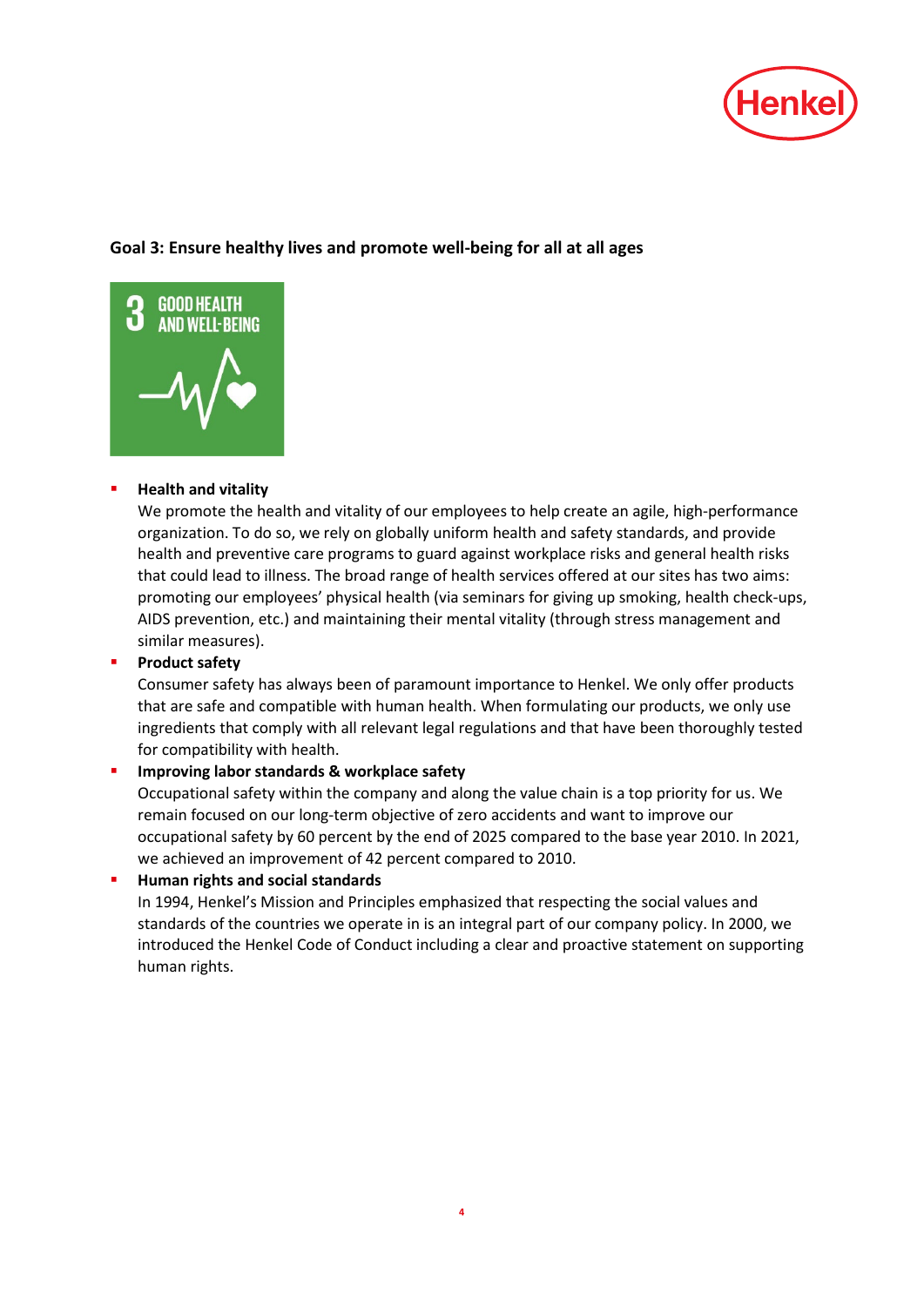

# **Goal 3: Ensure healthy lives and promote well-being for all at all ages**



# **Health and vitality**

We promote the health and vitality of our employees to help create an agile, high-performance organization. To do so, we rely on globally uniform health and safety standards, and provide health and preventive care programs to guard against workplace risks and general health risks that could lead to illness. The broad range of health services offered at our sites has two aims: promoting our employees' physical health (via seminars for giving up smoking, health check-ups, AIDS prevention, etc.) and maintaining their mental vitality (through stress management and similar measures).

# **[Product safety](http://sustainabilityreport.henkel.com/sustainability-stewardship/product-safety/)**

Consumer safety has always been of paramount importance to Henkel. We only offer products that are safe and compatible with human health. When formulating our products, we only use ingredients that comply with all relevant legal regulations and that have been thoroughly tested for compatibility with health.

# **[Improving labor](http://sustainabilityreport.henkel.com/our-strategy/targets/) standards & [workplace safety](http://sustainabilityreport.henkel.com/people/health-and-occupational-safety/)**

Occupational safety within the company and along the value chain is a top priority for us. We remain focused on our long-term objective of zero accidents and want to improve our occupational safety by 60 percent by the end of 2025 compared to the base year 2010. In 2021, we achieved an improvement of 42 percent compared to 2010.

# **Human rights and social standards**

In 1994, Henkel's Mission and Principles emphasized that respecting the social values and standards of the countries we operate in is an integral part of our company policy. In 2000, we introduced the Henkel Code of Conduct including a clear and proactive statement on supporting human rights.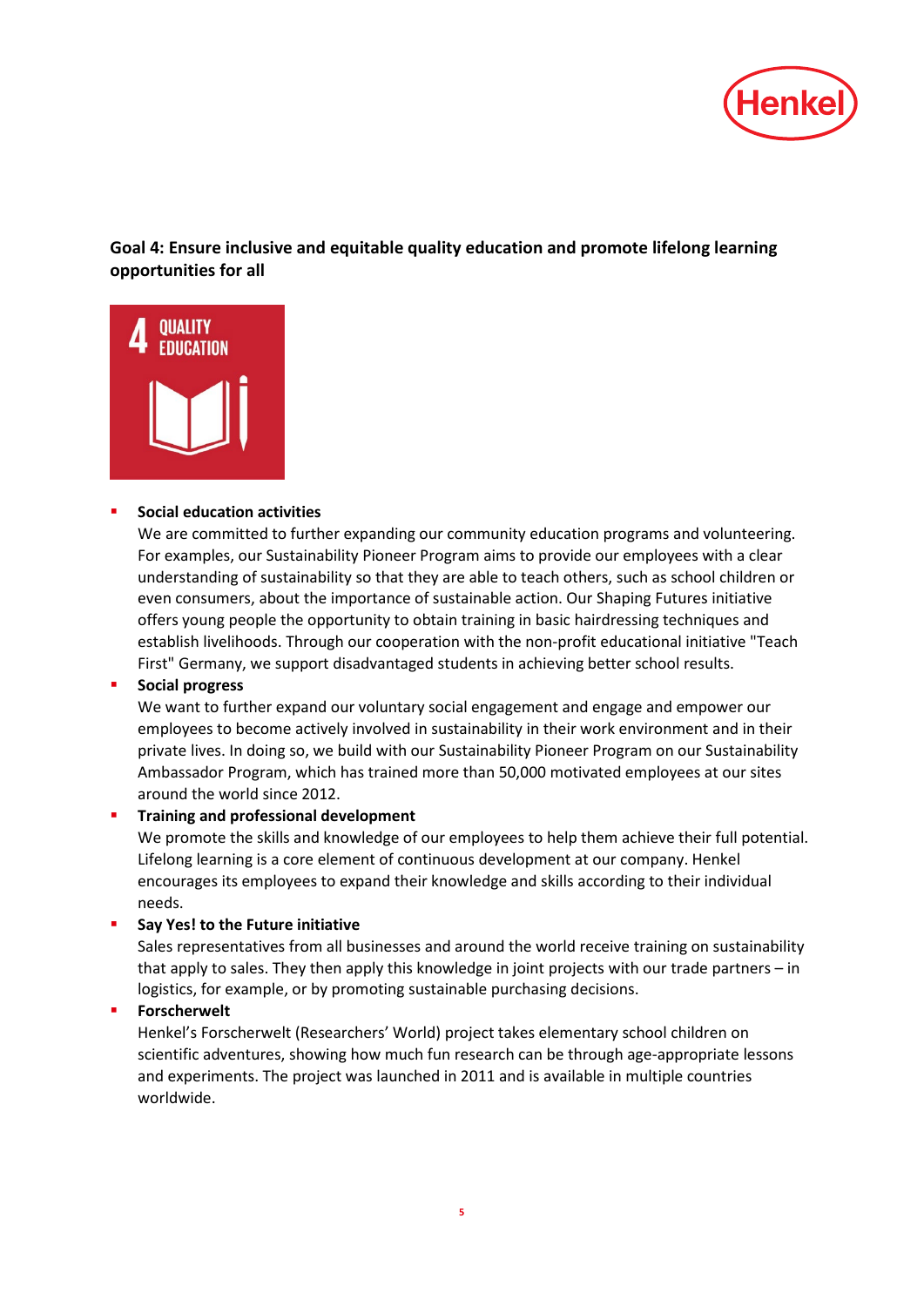

**Goal 4: Ensure inclusive and equitable quality education and promote lifelong learning opportunities for all**



#### **[Social education activities](http://sustainabilityreport.henkel.com/social-engagement/social-partnerships/)**

We are committed to further expanding our community education programs and volunteering. For examples, our Sustainability Pioneer Program aims to provide our employees with a clear understanding of sustainability so that they are able to teach others, such as school children or even consumers, about the importance of sustainable action. Our Shaping Futures initiative offers young people the opportunity to obtain training in basic hairdressing techniques and establish livelihoods. Through our cooperation with the non-profit educational initiative "Teach First" Germany, we support disadvantaged students in achieving better school results.

# **Social progress**

We want to further expand our voluntary social engagement and engage and empower our employees to become actively involved in sustainability in their work environment and in their private lives. In doing so, we build with our Sustainability Pioneer Program on our Sustainability Ambassador Program, which has trained more than 50,000 motivated employees at our sites around the world since 2012.

# **[Training and professional development](http://sustainabilityreport.henkel.com/people/human-resources-management/professional-development/)**

We promote the skills and knowledge of our employees to help them achieve their full potential. Lifelong learning is a core element of continuous development at our company. Henkel encourages its employees to expand their knowledge and skills according to their individual needs.

#### **F** [Say Yes! to the Future](http://sustainabilityreport.henkel.com/people/human-resources-management/professional-development/) initiative

Sales representatives from all businesses and around the world receive training on sustainability that apply to sales. They then apply this knowledge in joint projects with our trade partners – in logistics, for example, or by promoting sustainable purchasing decisions.

#### **[Forscherwelt](http://www.henkel-forscherwelt.com/)**

Henkel's Forscherwelt (Researchers' World) project takes elementary school children on scientific adventures, showing how much fun research can be through age-appropriate lessons and experiments. The project was launched in 2011 and is available in multiple countries worldwide.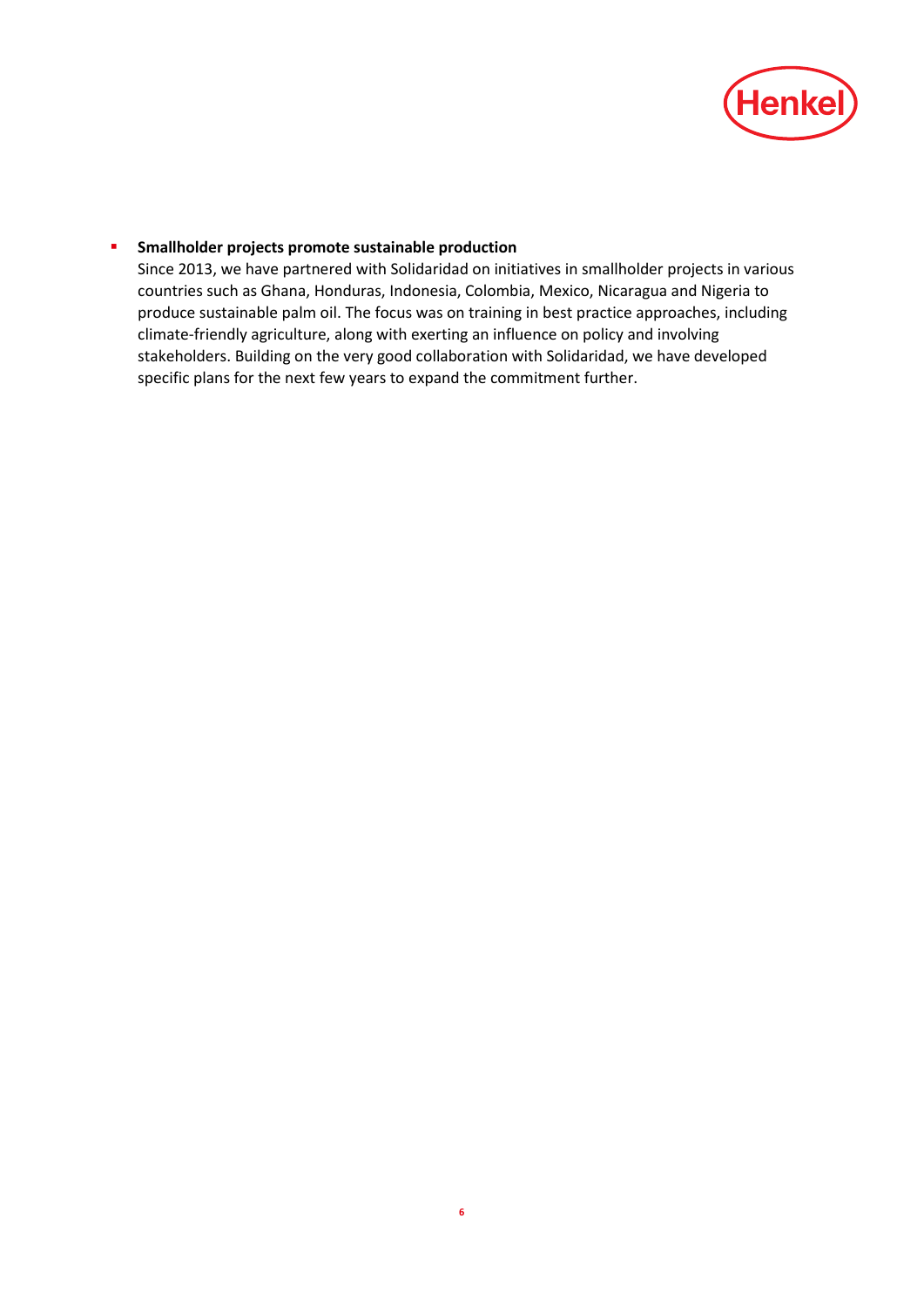

#### **F** Smallholder projects promote sustainable production

Since 2013, we have partnered with Solidaridad on initiatives in smallholder projects in various countries such as Ghana, Honduras, Indonesia, Colombia, Mexico, Nicaragua and Nigeria to produce sustainable palm oil. The focus was on training in best practice approaches, including climate-friendly agriculture, along with exerting an influence on policy and involving stakeholders. Building on the very good collaboration with Solidaridad, we have developed specific plans for the next few years to expand the commitment further.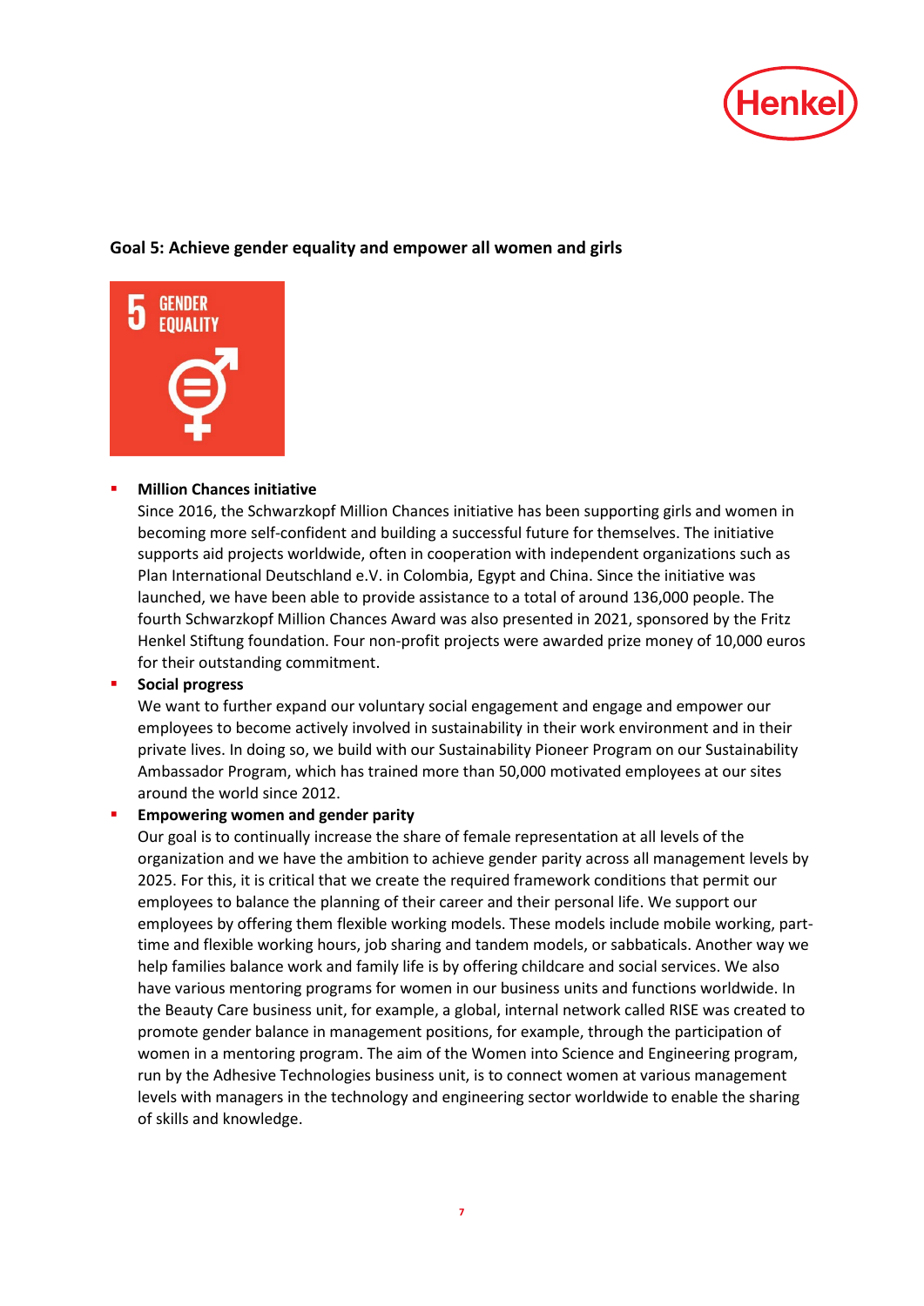

# **Goal 5: Achieve gender equality and empower all women and girls**



# **[Million Chances](http://sustainabilityreport.henkel.com/social-engagement/brand-engagement/) initiative**

Since 2016, the Schwarzkopf Million Chances initiative has been supporting girls and women in becoming more self-confident and building a successful future for themselves. The initiative supports aid projects worldwide, often in cooperation with independent organizations such as Plan International Deutschland e.V. in Colombia, Egypt and China. Since the initiative was launched, we have been able to provide assistance to a total of around 136,000 people. The fourth Schwarzkopf Million Chances Award was also presented in 2021, sponsored by the Fritz Henkel Stiftung foundation. Four non-profit projects were awarded prize money of 10,000 euros for their outstanding commitment.

#### **Social progress**

We want to further expand our voluntary social engagement and engage and empower our employees to become actively involved in sustainability in their work environment and in their private lives. In doing so, we build with our Sustainability Pioneer Program on our Sustainability Ambassador Program, which has trained more than 50,000 motivated employees at our sites around the world since 2012.

#### **[Empowering women](http://sustainabilityreport.henkel.com/people/human-resources-management/professional-development/) and gender parity**

Our goal is to continually increase the share of female representation at all levels of the organization and we have the ambition to achieve gender parity across all management levels by 2025. For this, it is critical that we create the required framework conditions that permit our employees to balance the planning of their career and their personal life. We support our employees by offering them flexible working models. These models include mobile working, parttime and flexible working hours, job sharing and tandem models, or sabbaticals. Another way we help families balance work and family life is by offering childcare and social services. We also have various mentoring programs for women in our business units and functions worldwide. In the Beauty Care business unit, for example, a global, internal network called RISE was created to promote gender balance in management positions, for example, through the participation of women in a mentoring program. The aim of the Women into Science and Engineering program, run by the Adhesive Technologies business unit, is to connect women at various management levels with managers in the technology and engineering sector worldwide to enable the sharing of skills and knowledge.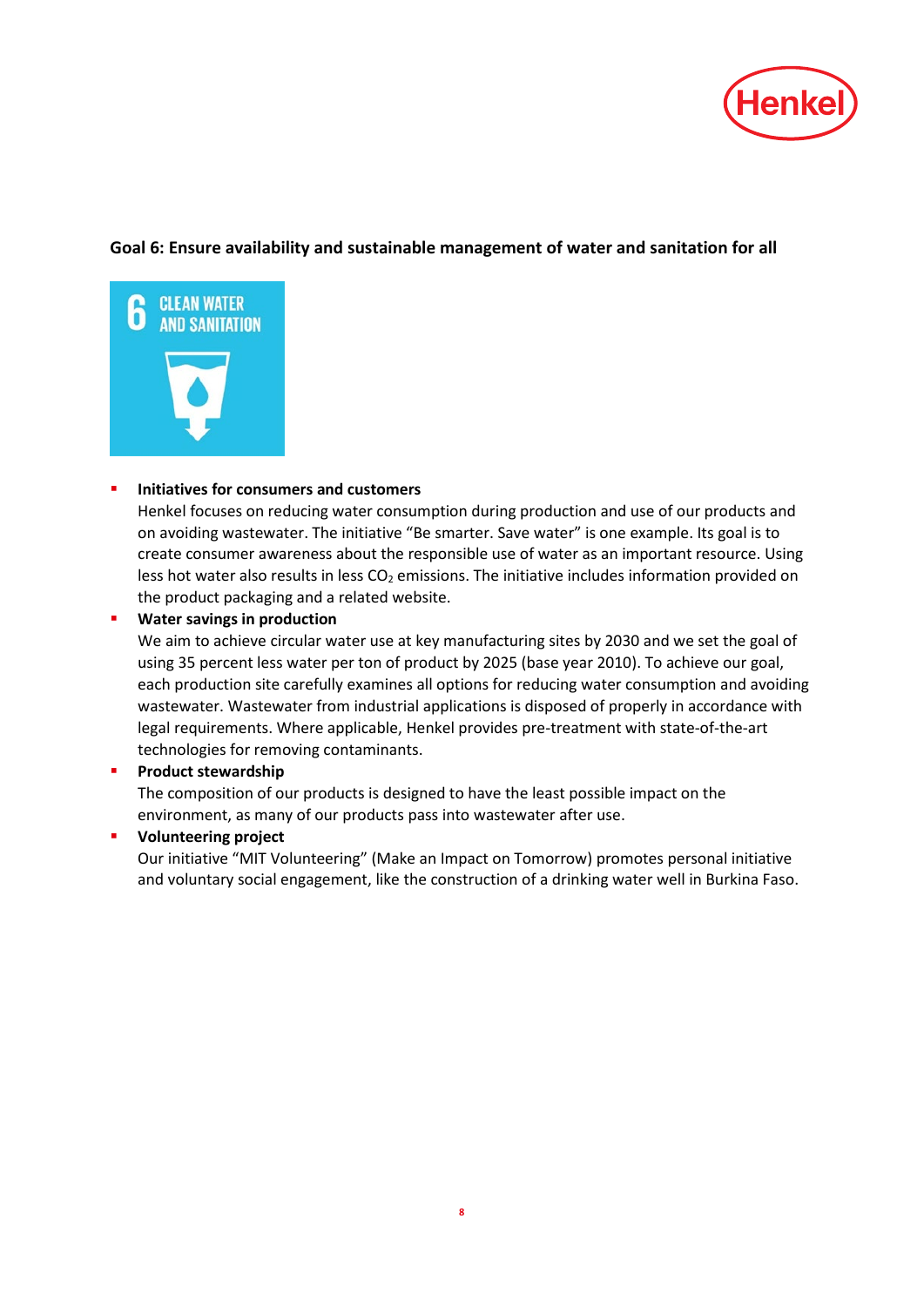

# **Goal 6: Ensure availability and sustainable management of water and sanitation for all**



# **Initiatives for consumers and customers**

Henkel focuses on reducing water consumption during production and use of our products and on avoiding wastewater. The initiative "Be smarter. Save water" is one example. Its goal is to create consumer awareness about the responsible use of water as an important resource. Using less hot water also results in less CO<sub>2</sub> emissions. The initiative includes information provided on the product packaging and a related website.

#### **[Water](http://sustainabilityreport.henkel.com/our-strategy/targets/) savings in production**

We aim to achieve circular water use at key manufacturing sites by 2030 and we set the goal of using 35 percent less water per ton of product by 2025 (base year 2010). To achieve our goal, each production site carefully examines all options for reducing water consumption and avoiding wastewater. Wastewater from industrial applications is disposed of properly in accordance with legal requirements. Where applicable, Henkel provides pre-treatment with state-of-the-art technologies for removing contaminants.

# **[Product stewardship](http://sustainabilityreport.henkel.com/sustainability-stewardship/product-safety/)**

The composition of our products is designed to have the least possible impact on the environment, as many of our products pass into wastewater after use.

#### **Volunteering project**

Our initiative "MIT Volunteering" (Make an Impact on Tomorrow) promotes personal initiative and voluntary social engagement, like the construction of a drinking water well in Burkina Faso.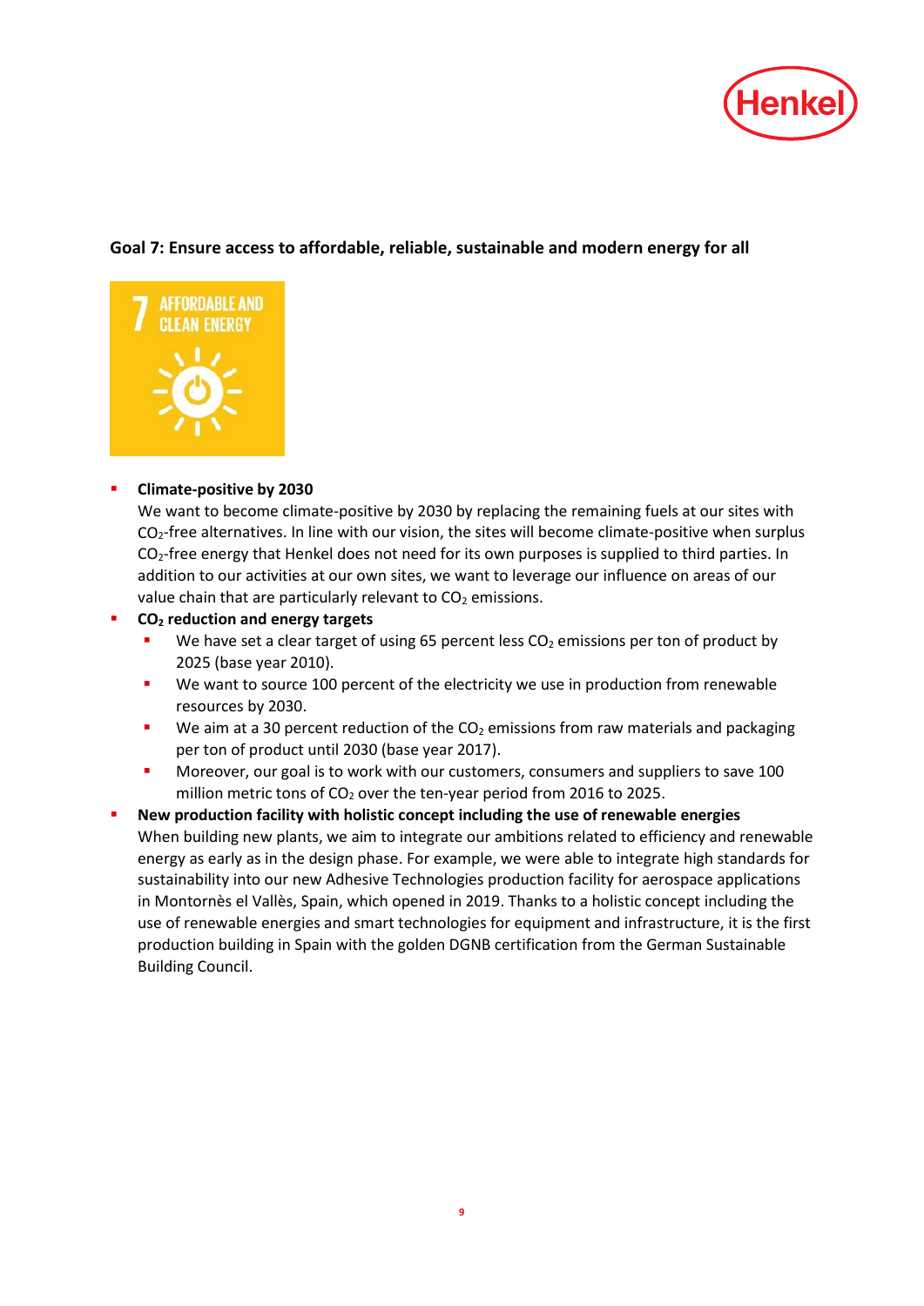

# **Goal 7: Ensure access to affordable, reliable, sustainable and modern energy for all**



# **Climate-positive by 2030**

We want to become climate-positive by 2030 by replacing the remaining fuels at our sites with  $CO<sub>2</sub>$ -free alternatives. In line with our vision, the sites will become climate-positive when surplus  $CO<sub>2</sub>$ -free energy that Henkel does not need for its own purposes is supplied to third parties. In addition to our activities at our own sites, we want to leverage our influence on areas of our value chain that are particularly relevant to  $CO<sub>2</sub>$  emissions.

- **CO2 reduction and energy targets**
	- We have set a clear target of using 65 percent less  $CO<sub>2</sub>$  emissions per ton of product by 2025 (base year 2010).
	- We want to source 100 percent of the electricity we use in production from renewable resources by 2030.
	- We aim at a 30 percent reduction of the  $CO<sub>2</sub>$  emissions from raw materials and packaging per ton of product until 2030 (base year 2017).
	- Moreover, our goal is to work with our customers, consumers and suppliers to save 100 million metric tons of  $CO<sub>2</sub>$  over the ten-year period from 2016 to 2025.
- **New production facility with holistic concept including the use of renewable energies** When building new plants, we aim to integrate our ambitions related to efficiency and renewable energy as early as in the design phase. For example, we were able to integrate high standards for sustainability into our new Adhesive Technologies production facility for aerospace applications in Montornès el Vallès, Spain, which opened in 2019. Thanks to a holistic concept including the use of renewable energies and smart technologies for equipment and infrastructure, it is the first production building in Spain with the golden DGNB certification from the German Sustainable Building Council.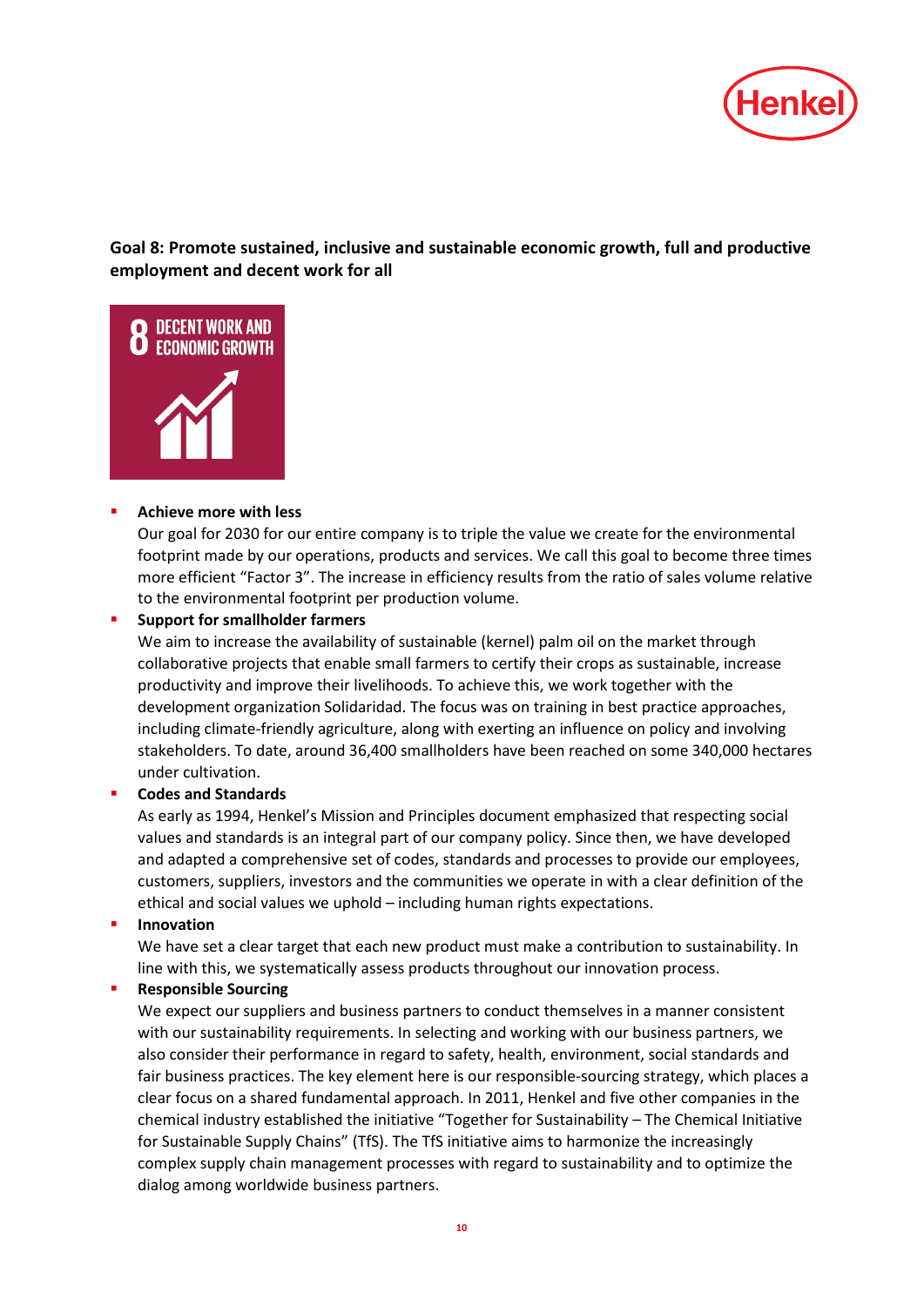

**Goal 8: Promote sustained, inclusive and sustainable economic growth, full and productive employment and decent work for all**



# **Achieve more with less**

Our goal for 2030 for our entire company is to triple the value we create for the environmental footprint made by our operations, products and services. We call this goal to become three times more efficient "Factor 3". The increase in efficiency results from the ratio of sales volume relative to the environmental footprint per production volume.

**[Support for smallholder farmers](http://www.henkel.com/sustainability/dialog-and-contacts/positions/palm-oil)**

We aim to increase the availability of sustainable (kernel) palm oil on the market through collaborative projects that enable small farmers to certify their crops as sustainable, increase productivity and improve their livelihoods. To achieve this, we work together with the development organization Solidaridad. The focus was on training in best practice approaches, including climate-friendly agriculture, along with exerting an influence on policy and involving stakeholders. To date, around 36,400 smallholders have been reached on some 340,000 hectares under cultivation.

# **[Codes and Standards](http://www.henkel.com/company/corporate-culture)**

As early as 1994, Henkel's Mission and Principles document emphasized that respecting social values and standards is an integral part of our company policy. Since then, we have developed and adapted a comprehensive set of codes, standards and processes to provide our employees, customers, suppliers, investors and the communities we operate in with a clear definition of the ethical and social values we uphold – including human rights expectations.

# **[Innovation](http://sustainabilityreport.henkel.com/sustainability-stewardship/sustainability-measurement/)**

We have set a clear target that each new product must make a contribution to sustainability. In line with this, we systematically assess products throughout our innovation process.

# **[Responsible Sourcing](http://www.henkel.com/partners-and-suppliers/suppliers)**

We expect our suppliers and business partners to conduct themselves in a manner consistent with our sustainability requirements. In selecting and working with our business partners, we also consider their performance in regard to safety, health, environment, social standards and fair business practices. The key element here is our responsible-sourcing strategy, which places a clear focus on a shared fundamental approach. In 2011, Henkel and five other companies in the chemical industry established the initiative ["Together for Sustainability –](https://www.tfs-initiative.com/) The Chemical Initiative [for Sustainable Supply Chains"](https://www.tfs-initiative.com/) (TfS). The TfS initiative aims to harmonize the increasingly complex supply chain management processes with regard to sustainability and to optimize the dialog among worldwide business partners.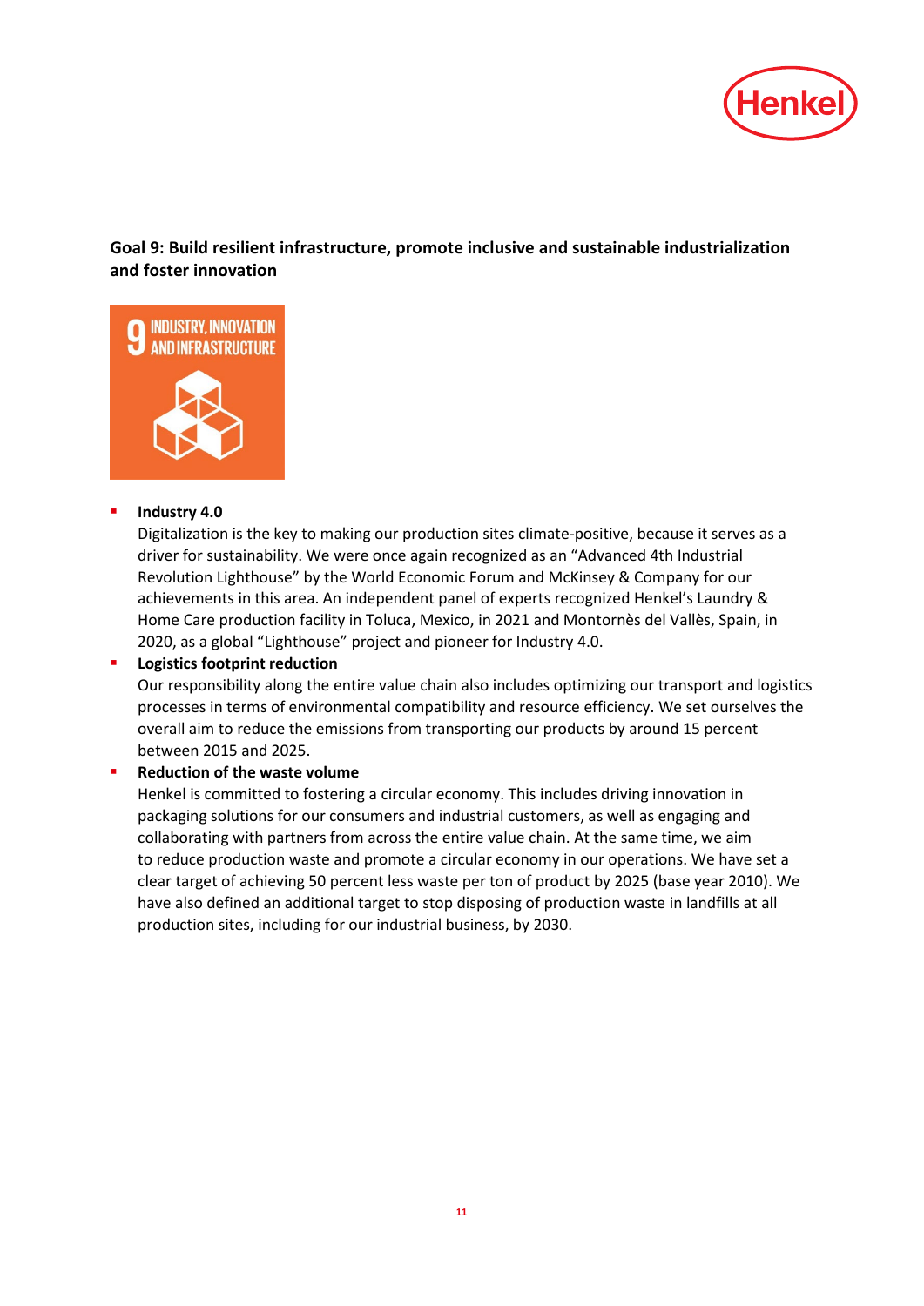

# **Goal 9: Build resilient infrastructure, promote inclusive and sustainable industrialization and foster innovation**



#### **Industry 4.0**

Digitalization is the key to making our production sites climate-positive, because it serves as a driver for sustainability. We were once again recognized as an "Advanced 4th Industrial Revolution Lighthouse" by the World Economic Forum and McKinsey & Company for our achievements in this area. An independent panel of experts recognized Henkel's Laundry & Home Care production facility in Toluca, Mexico, in 2021 and Montornès del Vallès, Spain, in 2020, as a global "Lighthouse" project and pioneer for Industry 4.0.

# **[Logistics footprint reduction](http://sustainabilityreport.henkel.com/supply-chain/logistics-and-transport/)**

Our responsibility along the entire value chain also includes optimizing our transport and logistics processes in terms of environmental compatibility and resource efficiency. We set ourselves the overall aim to reduce the emissions from transporting our products by around 15 percent between 2015 and 2025.

# **Reduction of the waste volume**

Henkel is committed to fostering a circular economy. This includes driving innovation in packaging solutions for our consumers and industrial customers, as well as engaging and collaborating with partners from across the entire value chain. At the same time, we aim to reduce production waste and promote a circular economy in our operations. We have set a clear target of achieving 50 percent less waste per ton of product by 2025 (base year 2010). We have also defined an additional target to stop disposing of production waste in landfills at all production sites, including for our industrial business, by 2030.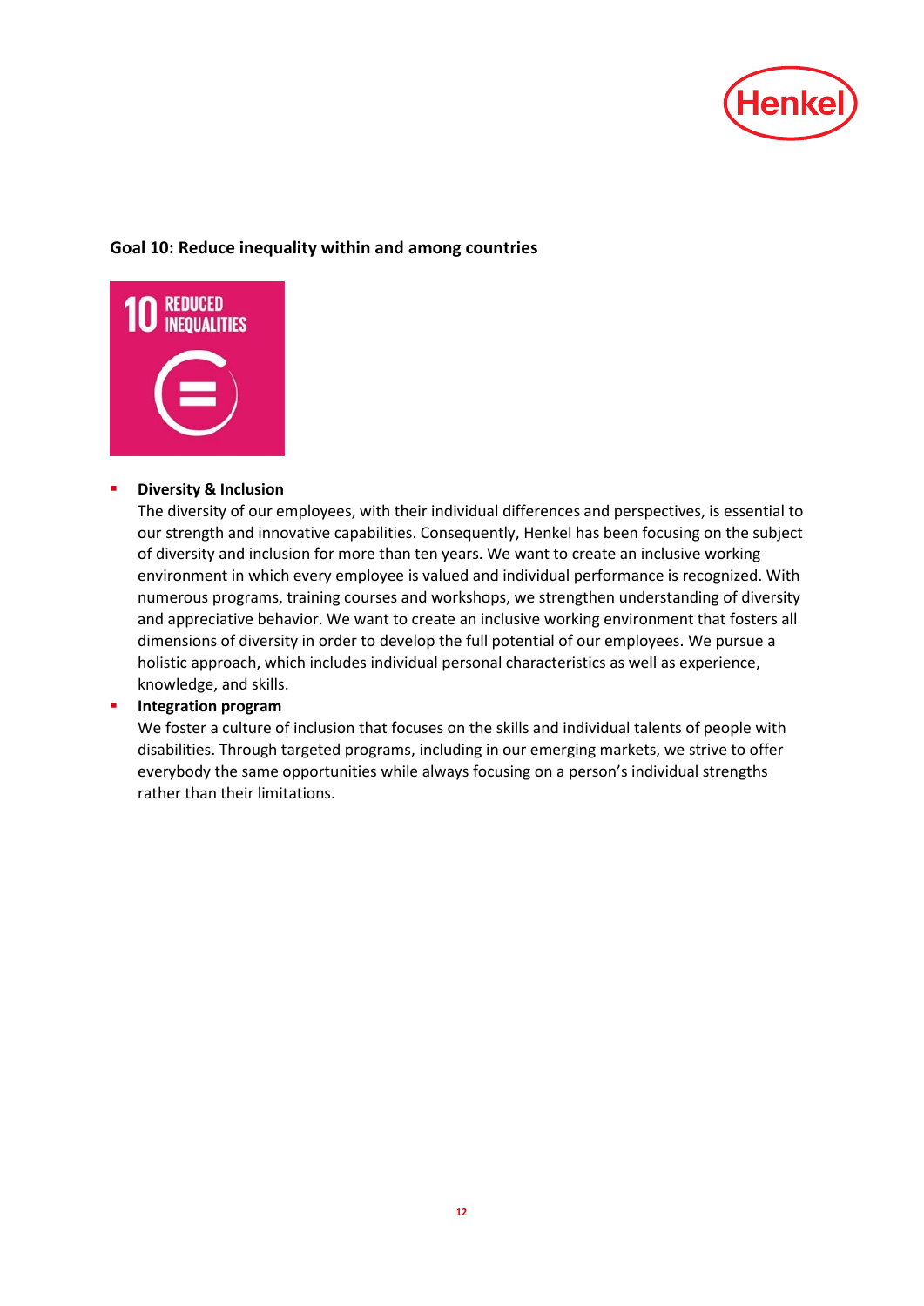

# **Goal 10: Reduce inequality within and among countries**



# **P** [Diversity & Inclusion](http://sustainabilityreport.henkel.com/people/human-resources-management/diversity/)

The diversity of our employees, with their individual differences and perspectives, is essential to our strength and innovative capabilities. Consequently, Henkel has been focusing on the subject of diversity and inclusion for more than ten years. We want to create an inclusive working environment in which every employee is valued and individual performance is recognized. With numerous programs, training courses and workshops, we strengthen understanding of diversity and appreciative behavior. We want to create an inclusive working environment that fosters all dimensions of diversity in order to develop the full potential of our employees. We pursue a holistic approach, which includes individual personal characteristics as well as experience, knowledge, and skills.

# **Integration program**

We foster a culture of inclusion that focuses on the skills and individual talents of people with disabilities. Through targeted programs, including in our emerging markets, we strive to offer everybody the same opportunities while always focusing on a person's individual strengths rather than their limitations.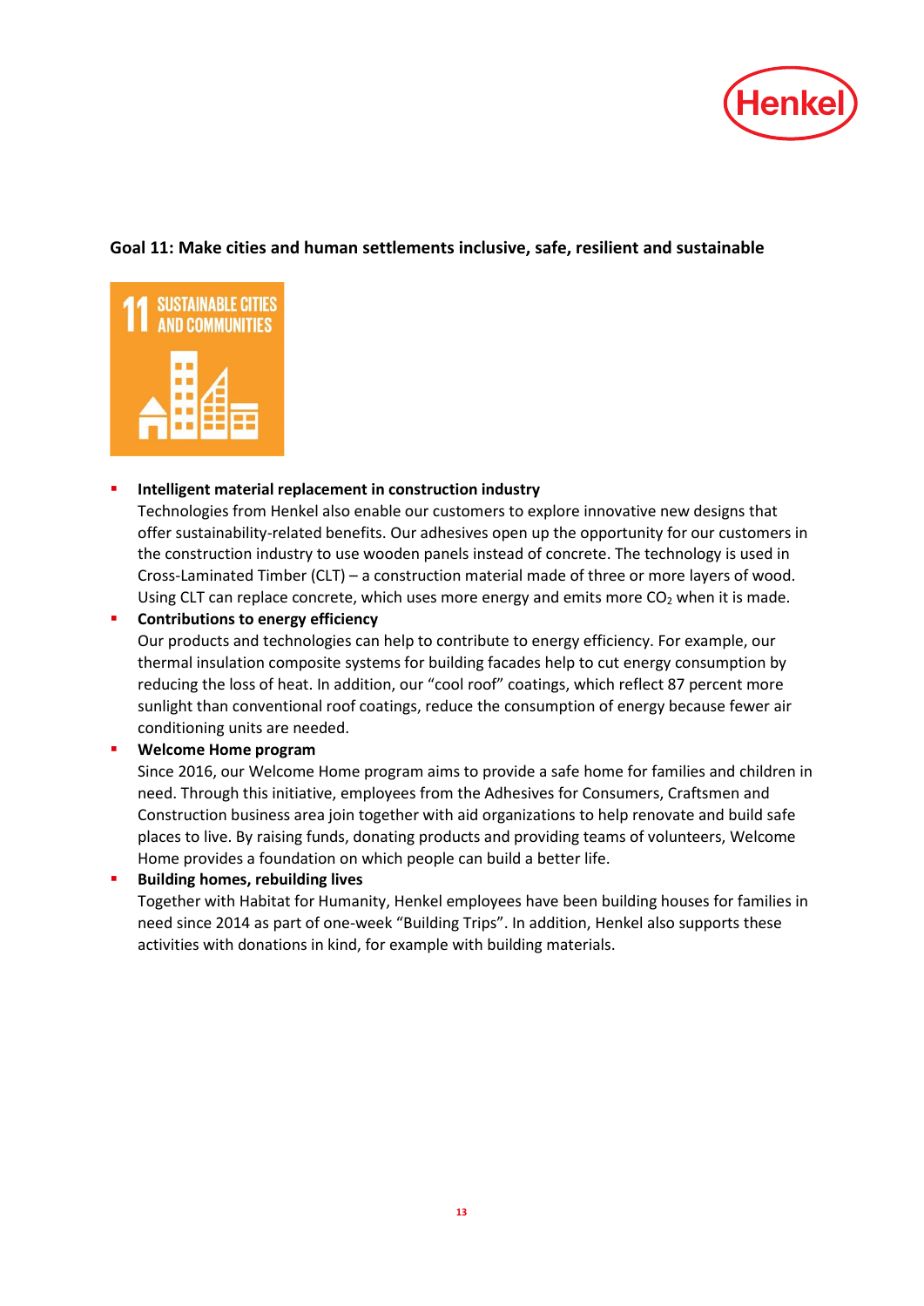

# **Goal 11: Make cities and human settlements inclusive, safe, resilient and sustainable**



#### **Intelligent material replacement in construction industry**

Technologies from Henkel also enable our customers to explore innovative new designs that offer sustainability-related benefits. Our adhesives open up the opportunity for our customers in the construction industry to use wooden panels instead of concrete. The technology is used in Cross-Laminated Timber (CLT) – a construction material made of three or more layers of wood. Using CLT can replace concrete, which uses more energy and emits more  $CO<sub>2</sub>$  when it is made.

#### **Contributions to energy efficiency**

Our products and technologies can help to contribute to energy efficiency. For example, our thermal insulation composite systems for building facades help to cut energy consumption by reducing the loss of heat. In addition, our "cool roof" coatings, which reflect 87 percent more sunlight than conventional roof coatings, reduce the consumption of energy because fewer air conditioning units are needed.

#### **Welcome Home program**

Since 2016, our Welcome Home program aims to provide a safe home for families and children in need. Through this initiative, employees from the Adhesives for Consumers, Craftsmen and Construction business area join together with aid organizations to help renovate and build safe places to live. By raising funds, donating products and providing teams of volunteers, Welcome Home provides a foundation on which people can build a better life.

**Building homes, rebuilding lives** 

Together with Habitat for Humanity, Henkel employees have been building houses for families in need since 2014 as part of one-week "Building Trips". In addition, Henkel also supports these activities with donations in kind, for example with building materials.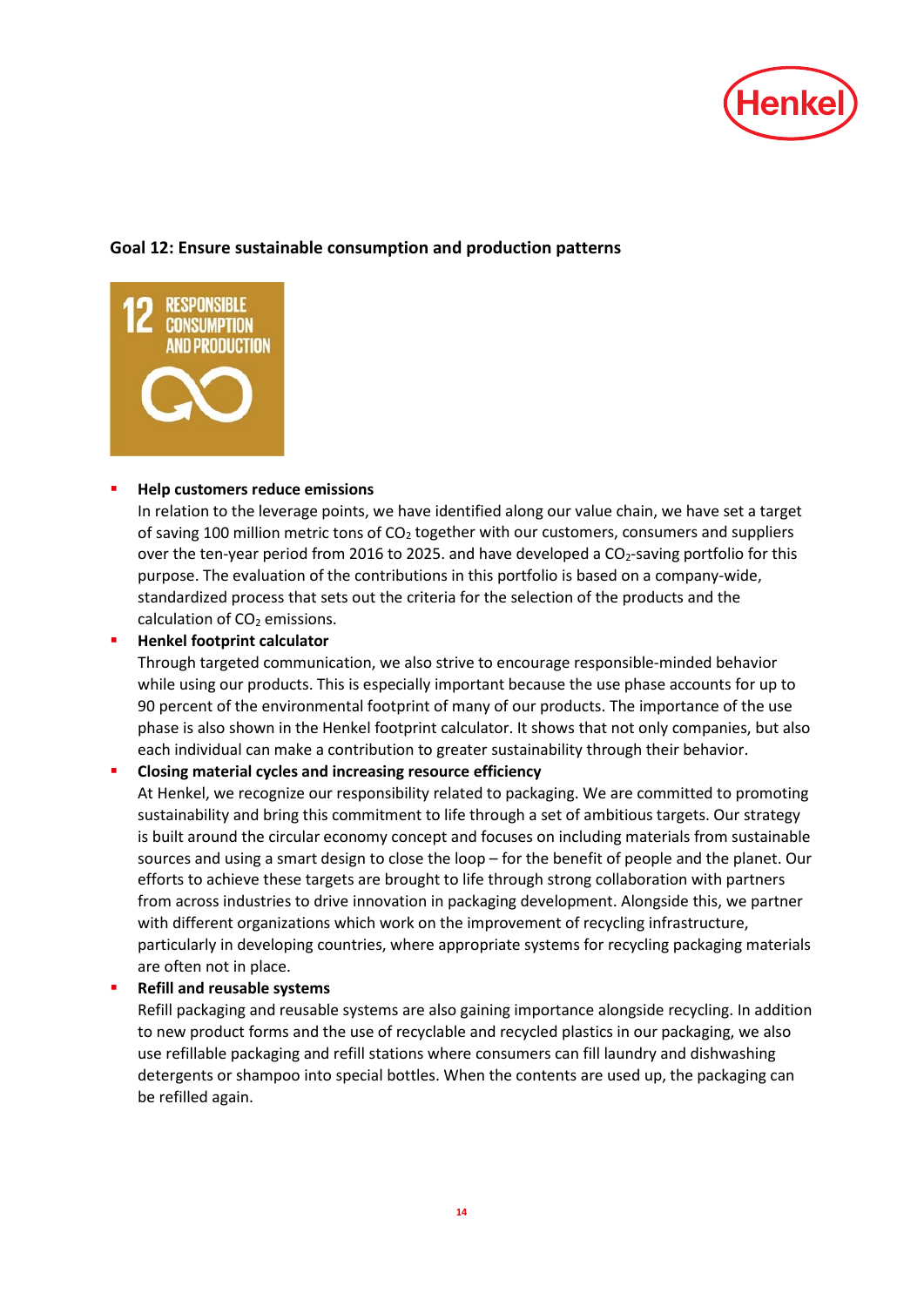

# **Goal 12: Ensure sustainable consumption and production patterns**



#### **[Help customers reduce emissions](http://sustainabilityreport.henkel.com/our-strategy/targets/)**

In relation to the leverage points, we have identified along our value chain, we have set a target of saving 100 million metric tons of  $CO<sub>2</sub>$  together with our customers, consumers and suppliers over the ten-year period from 2016 to 2025. and have developed a CO<sub>2</sub>-saving portfolio for this purpose. The evaluation of the contributions in this portfolio is based on a company-wide, standardized process that sets out the criteria for the selection of the products and the calculation of CO<sub>2</sub> emissions.

#### **Henkel footprint calculator**

Through targeted communication, we also strive to encourage responsible-minded behavior while using our products. This is especially important because the use phase accounts for up to 90 percent of the environmental footprint of many of our products. The importance of the use phase is also shown in the Henkel footprint calculator. It shows that not only companies, but also each individual can make a contribution to greater sustainability through their behavior.

#### **Closing material cycles and increasing resource efficiency**

At Henkel, we recognize our responsibility related to packaging. We are committed to promoting sustainability and bring this commitment to life through a set of ambitious targets. Our strategy is built around the circular economy concept and focuses on including materials from sustainable sources and using a smart design to close the loop – for the benefit of people and the planet. Our efforts to achieve these targets are brought to life through strong collaboration with partners from across industries to drive innovation in packaging development. Alongside this, we partner with different organizations which work on the improvement of recycling infrastructure, particularly in developing countries, where appropriate systems for recycling packaging materials are often not in place.

#### **Refill and reusable systems**

Refill packaging and reusable systems are also gaining importance alongside recycling. In addition to new product forms and the use of recyclable and recycled plastics in our packaging, we also use refillable packaging and refill stations where consumers can fill laundry and dishwashing detergents or shampoo into special bottles. When the contents are used up, the packaging can be refilled again.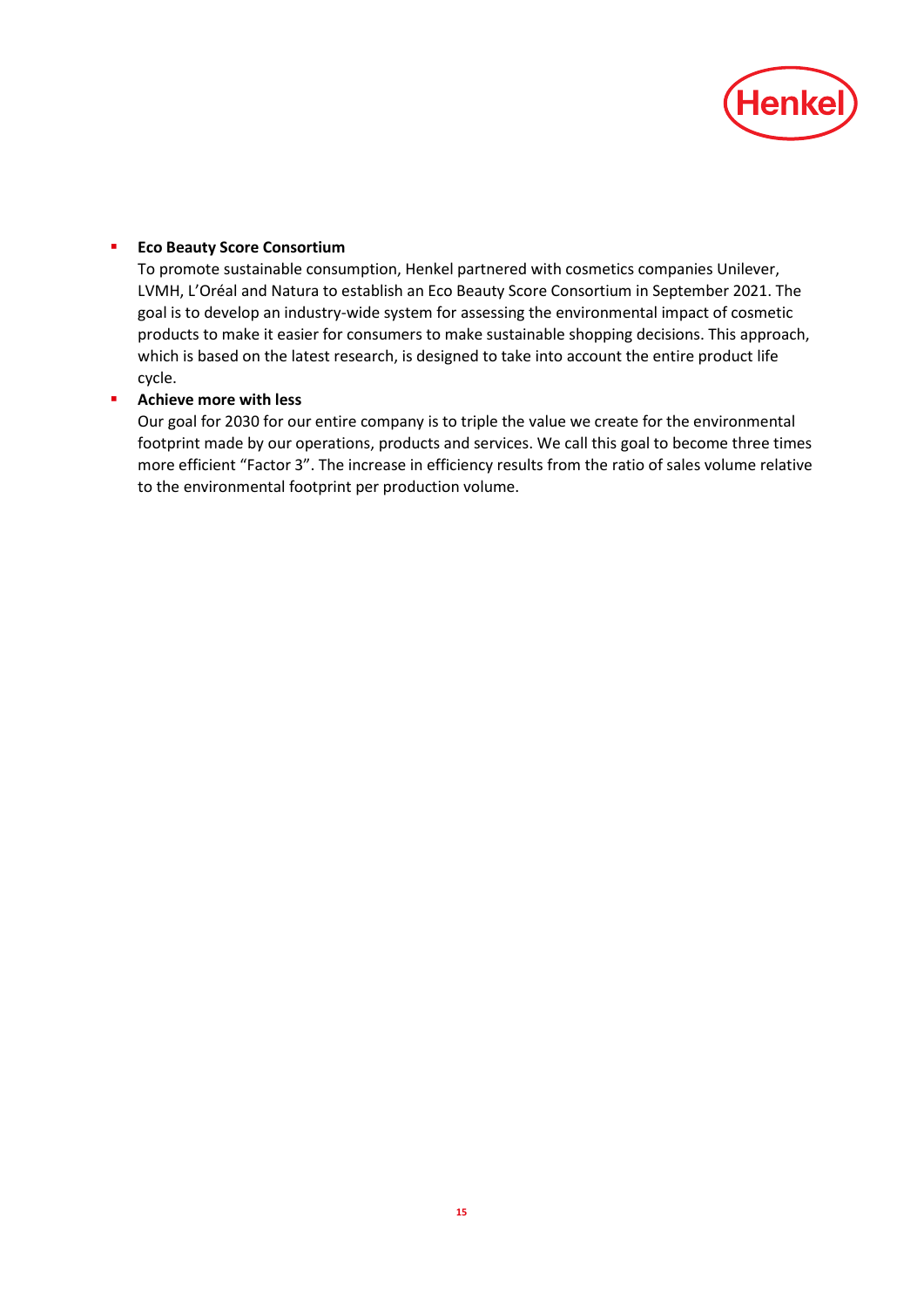

# **Eco Beauty Score Consortium**

To promote sustainable consumption, Henkel partnered with cosmetics companies Unilever, LVMH, L'Oréal and Natura to establish an Eco Beauty Score Consortium in September 2021. The goal is to develop an industry-wide system for assessing the environmental impact of cosmetic products to make it easier for consumers to make sustainable shopping decisions. This approach, which is based on the latest research, is designed to take into account the entire product life cycle.

# **Achieve more with less**

Our goal for 2030 for our entire company is to triple the value we create for the environmental footprint made by our operations, products and services. We call this goal to become three times more efficient "Factor 3". The increase in efficiency results from the ratio of sales volume relative to the environmental footprint per production volume.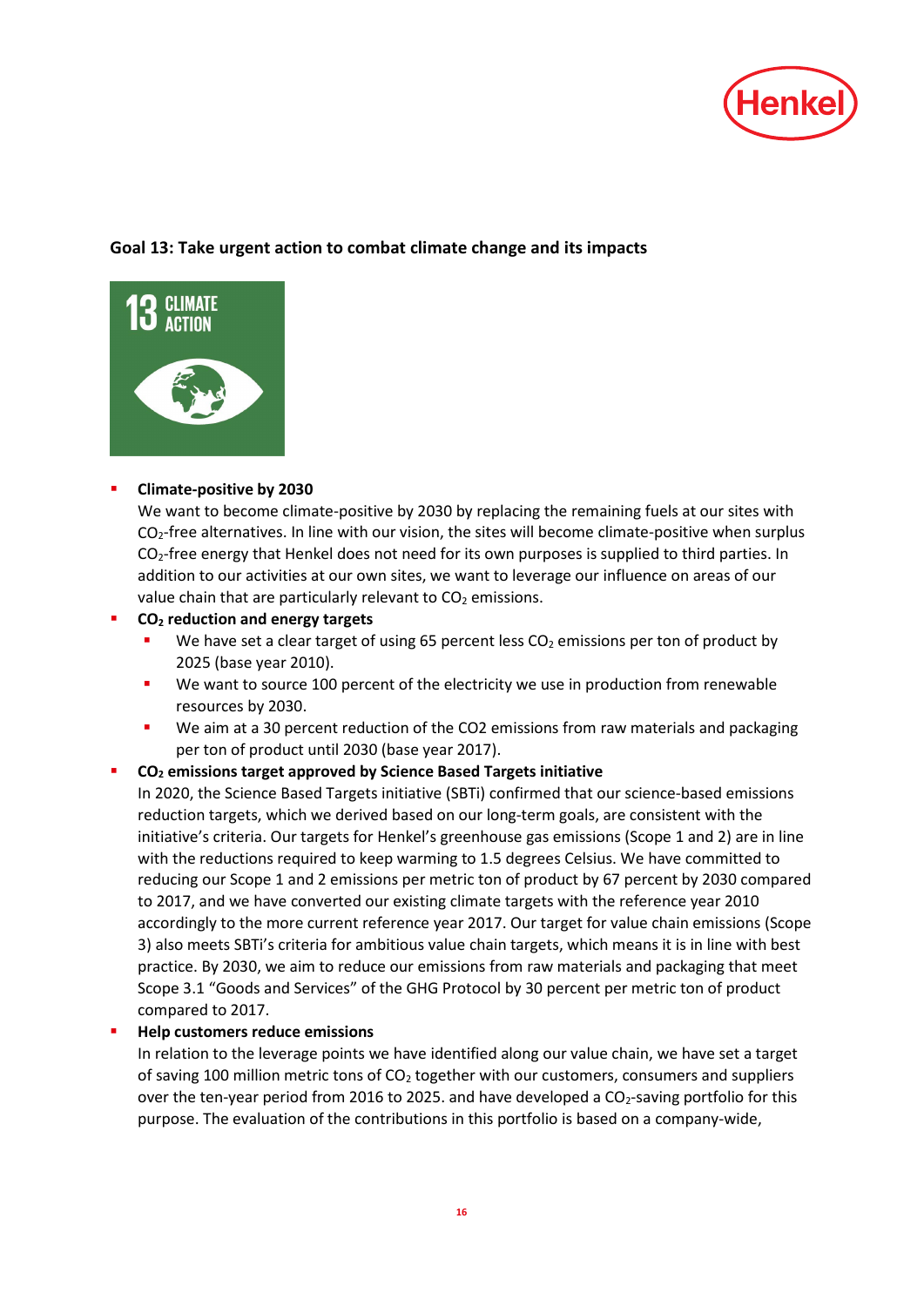

# **Goal 13: Take urgent action to combat climate change and its impacts**



# **Climate-positive by 2030**

We want to become climate-positive by 2030 by replacing the remaining fuels at our sites with  $CO<sub>2</sub>$ -free alternatives. In line with our vision, the sites will become climate-positive when surplus  $CO<sub>2</sub>$ -free energy that Henkel does not need for its own purposes is supplied to third parties. In addition to our activities at our own sites, we want to leverage our influence on areas of our value chain that are particularly relevant to  $CO<sub>2</sub>$  emissions.

# **CO2 reduction and energy targets**

- We have set a clear target of using 65 percent less  $CO<sub>2</sub>$  emissions per ton of product by 2025 (base year 2010).
- We want to source 100 percent of the electricity we use in production from renewable resources by 2030.
- We aim at a 30 percent reduction of the CO2 emissions from raw materials and packaging per ton of product until 2030 (base year 2017).

# **CO2 [emissions target](http://sustainabilityreport.henkel.com/our-strategy/targets/) approved by Science Based Targets initiative**

In 2020, the Science Based Targets initiative (SBTi) confirmed that our science-based emissions reduction targets, which we derived based on our long-term goals, are consistent with the initiative's criteria. Our targets for Henkel's greenhouse gas emissions (Scope 1 and 2) are in line with the reductions required to keep warming to 1.5 degrees Celsius. We have committed to reducing our Scope 1 and 2 emissions per metric ton of product by 67 percent by 2030 compared to 2017, and we have converted our existing climate targets with the reference year 2010 accordingly to the more current reference year 2017. Our target for value chain emissions (Scope 3) also meets SBTi's criteria for ambitious value chain targets, which means it is in line with best practice. By 2030, we aim to reduce our emissions from raw materials and packaging that meet Scope 3.1 "Goods and Services" of the GHG Protocol by 30 percent per metric ton of product compared to 2017.

# **[Help customers reduce emissions](http://sustainabilityreport.henkel.com/our-strategy/targets/)**

In relation to the leverage points we have identified along our value chain, we have set a target of saving 100 million metric tons of CO<sub>2</sub> together with our customers, consumers and suppliers over the ten-year period from 2016 to 2025. and have developed a  $CO<sub>2</sub>$ -saving portfolio for this purpose. The evaluation of the contributions in this portfolio is based on a company-wide,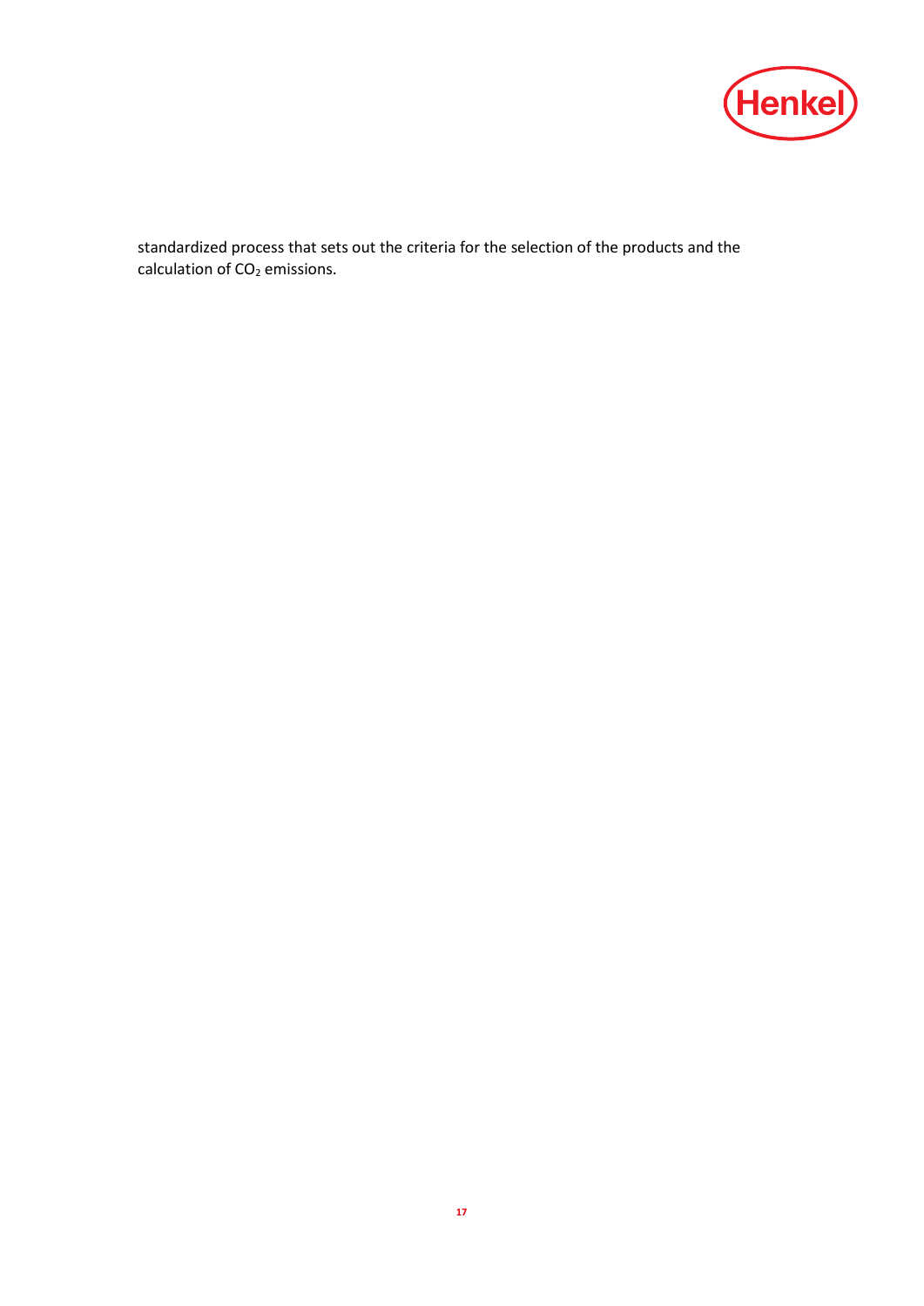

standardized process that sets out the criteria for the selection of the products and the calculation of  $CO<sub>2</sub>$  emissions.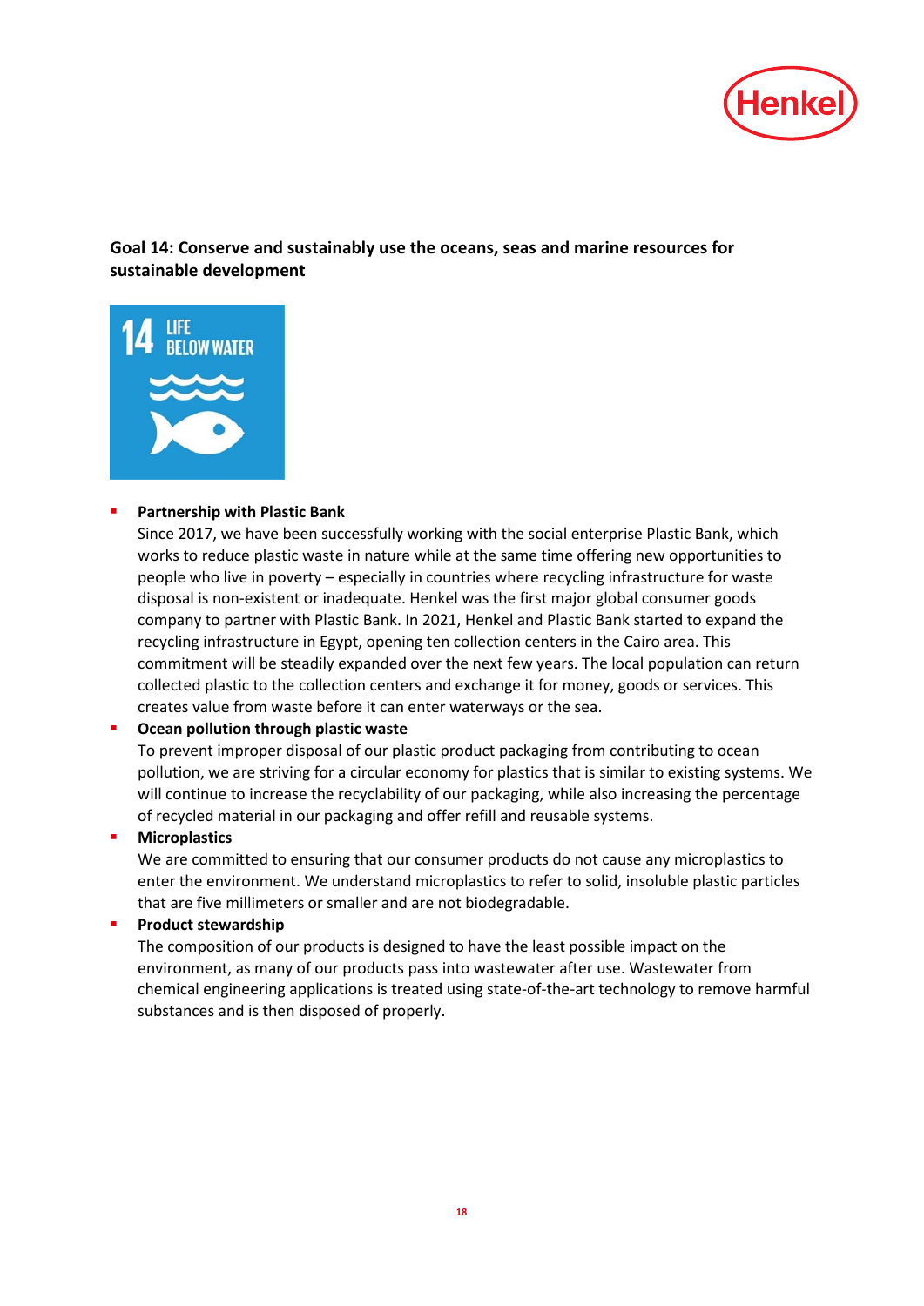

# **Goal 14: Conserve and sustainably use the oceans, seas and marine resources for sustainable development**



#### **Partnership with Plastic Bank**

Since 2017, we have been successfully working with the social enterprise Plastic Bank, which works to reduce plastic waste in nature while at the same time offering new opportunities to people who live in poverty – especially in countries where recycling infrastructure for waste disposal is non-existent or inadequate. Henkel was the first major global consumer goods company to partner with Plastic Bank. In 2021, Henkel and Plastic Bank started to expand the recycling infrastructure in Egypt, opening ten collection centers in the Cairo area. This commitment will be steadily expanded over the next few years. The local population can return collected plastic to the collection centers and exchange it for money, goods or services. This creates value from waste before it can enter waterways or the sea.

#### **Ocean pollution through plastic waste**

To prevent improper disposal of our plastic product packaging from contributing to ocean pollution, we are striving for a circular economy for plastics that is similar to existing systems. We will continue to increase the recyclability of our packaging, while also increasing the percentage of recycled material in our packaging and offer refill and reusable systems.

#### **Microplastics**

We are committed to ensuring that our consumer products do not cause any microplastics to enter the environment. We understand microplastics to refer to solid, insoluble plastic particles that are five millimeters or smaller and are not biodegradable.

#### **[Product stewardship](http://sustainabilityreport.henkel.com/sustainability-stewardship/product-safety/)**

The composition of our products is designed to have the least possible impact on the environment, as many of our products pass into wastewater after use. Wastewater from chemical engineering applications is treated using state-of-the-art technology to remove harmful substances and is then disposed of properly.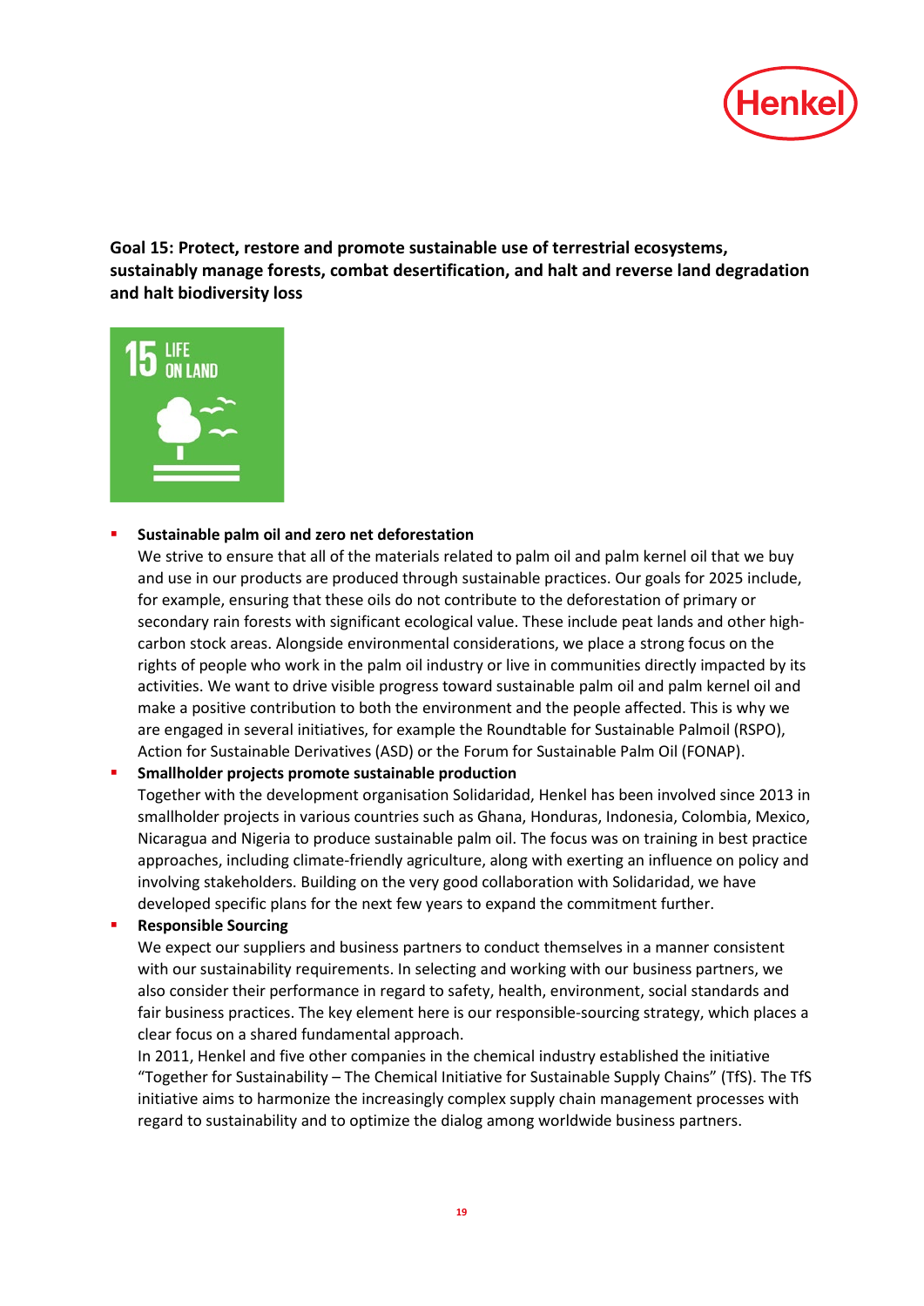

**Goal 15: Protect, restore and promote sustainable use of terrestrial ecosystems, sustainably manage forests, combat desertification, and halt and reverse land degradation and halt biodiversity loss**



#### **[Sustainable palm oil and zero net deforestation](http://www.henkel.com/sustainability/dialog-and-contacts/positions/palm-oil)**

We strive to ensure that all of the materials related to palm oil and palm kernel oil that we buy and use in our products are produced through sustainable practices. Our goals for 2025 include, for example, ensuring that these oils do not contribute to the deforestation of primary or secondary rain forests with significant ecological value. These include peat lands and other highcarbon stock areas. Alongside environmental considerations, we place a strong focus on the rights of people who work in the palm oil industry or live in communities directly impacted by its activities. We want to drive visible progress toward sustainable palm oil and palm kernel oil and make a positive contribution to both the environment and the people affected. This is why we are engaged in several initiatives, for example the Roundtable for Sustainable Palmoil (RSPO), Action for Sustainable Derivatives (ASD) or the Forum for Sustainable Palm Oil (FONAP).

#### **Smallholder projects promote sustainable production**

Together with the development organisation Solidaridad, Henkel has been involved since 2013 in smallholder projects in various countries such as Ghana, Honduras, Indonesia, Colombia, Mexico, Nicaragua and Nigeria to produce sustainable palm oil. The focus was on training in best practice approaches, including climate-friendly agriculture, along with exerting an influence on policy and involving stakeholders. Building on the very good collaboration with Solidaridad, we have developed specific plans for the next few years to expand the commitment further.

# **Responsible Sourcing**

We expect our suppliers and business partners to conduct themselves in a manner consistent with our sustainability requirements. In selecting and working with our business partners, we also consider their performance in regard to safety, health, environment, social standards and fair business practices. The key element here is our responsible-sourcing strategy, which places a clear focus on a shared fundamental approach.

In 2011, Henkel and five other companies in the chemical industry established the initiative "Together for Sustainability – [The Chemical Initiative for Sustainable Supply Chains"](https://www.tfs-initiative.com/) (TfS). The TfS initiative aims to harmonize the increasingly complex supply chain management processes with regard to sustainability and to optimize the dialog among worldwide business partners.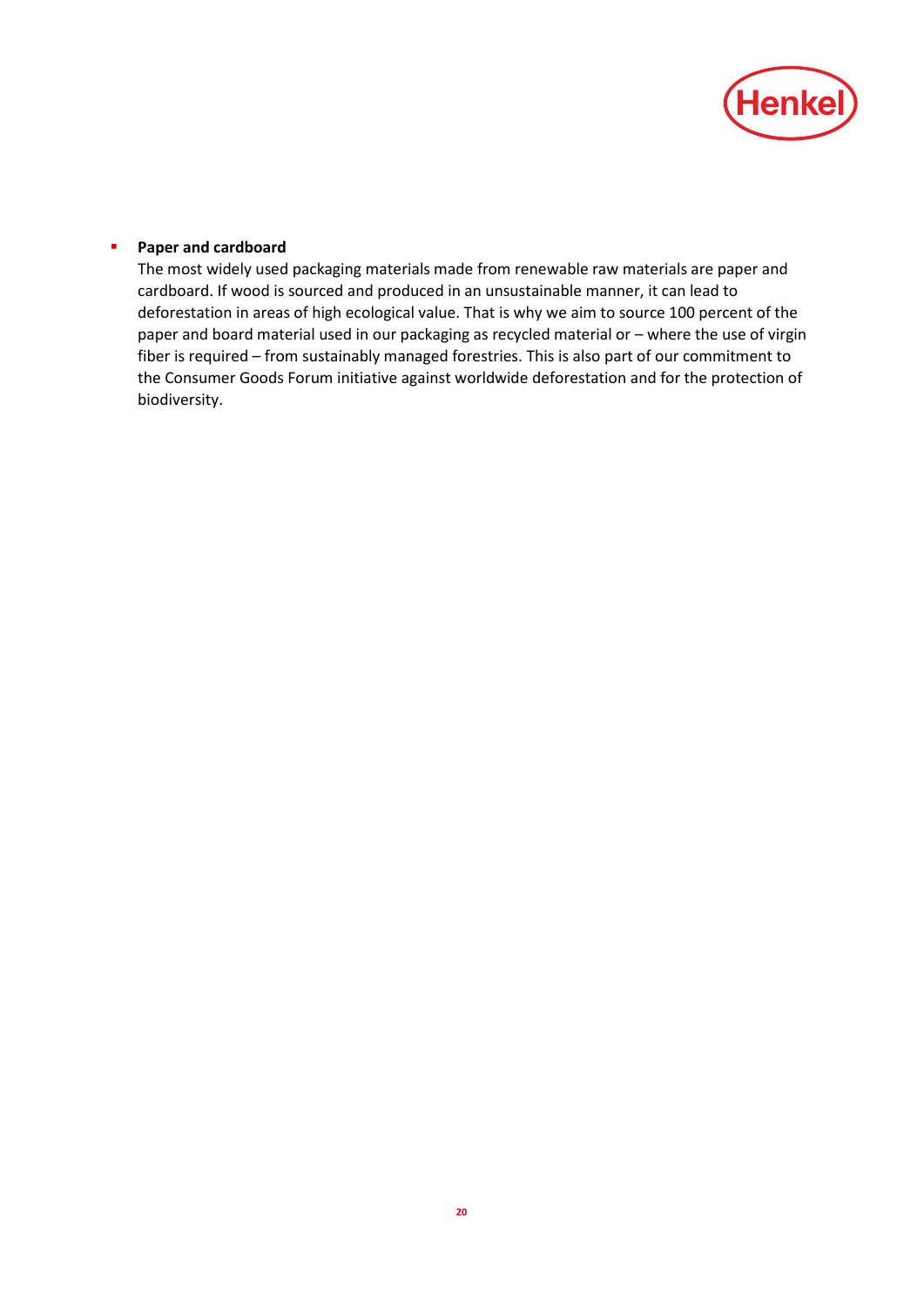

# **Paper and cardboard**

The most widely used packaging materials made from renewable raw materials are paper and cardboard. If wood is sourced and produced in an unsustainable manner, it can lead to deforestation in areas of high ecological value. That is why we aim to source 100 percent of the paper and board material used in our packaging as recycled material or – where the use of virgin fiber is required – from sustainably managed forestries. This is also part of our commitment to the Consumer Goods Forum initiative against worldwide deforestation and for the protection of biodiversity.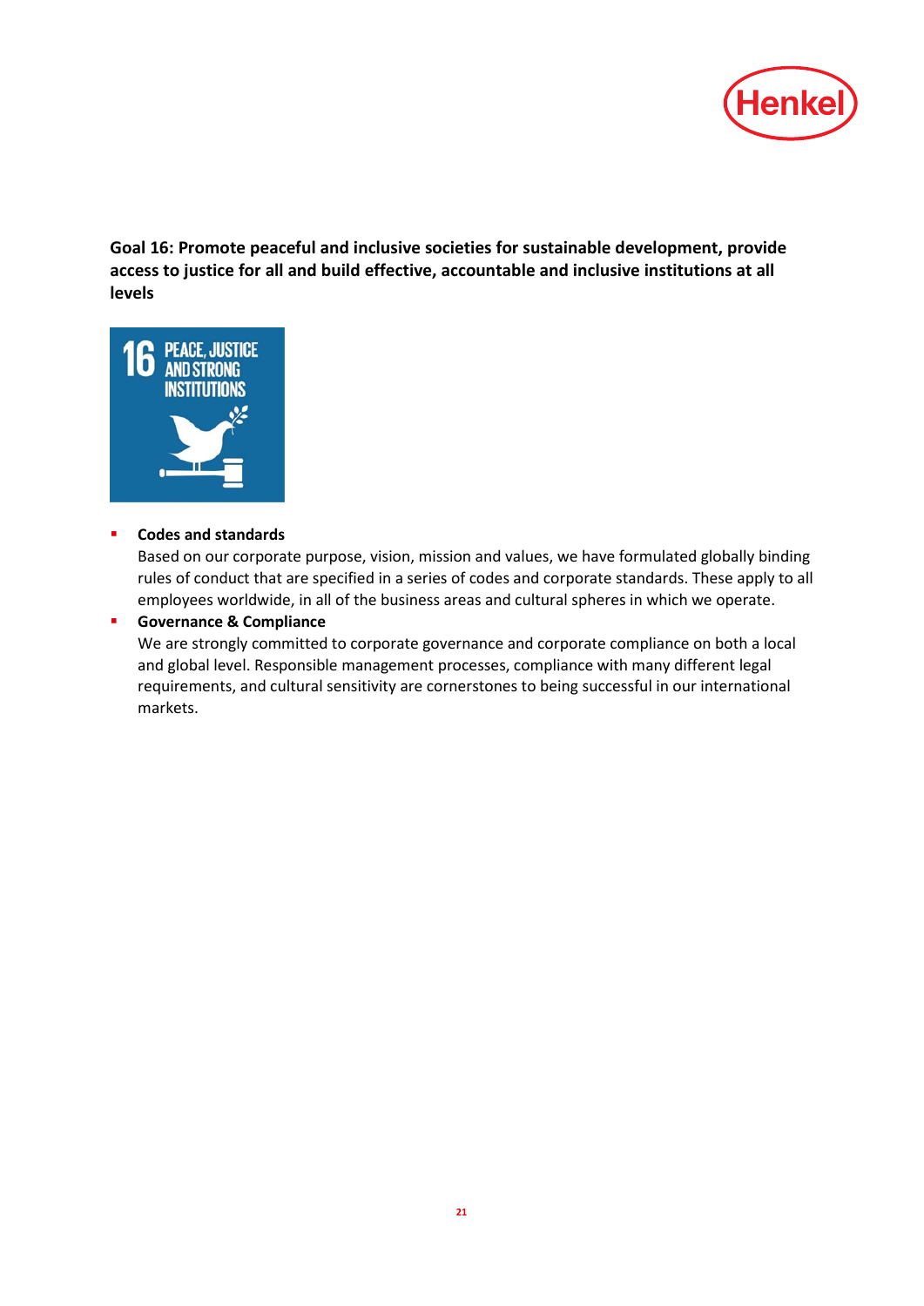

**Goal 16: Promote peaceful and inclusive societies for sustainable development, provide access to justice for all and build effective, accountable and inclusive institutions at all levels**



# **Codes [and standards](http://www.henkel.com/company/corporate-culture)**

Based on our corporate purpose, vision, mission and values, we have formulated globally binding rules of conduct that are specified in a series of codes and corporate standards. These apply to all employees worldwide, in all of the business areas and cultural spheres in which we operate.

#### **Governance & Compliance**

We are strongly committed to corporate governance and corporate compliance on both a local and global level. Responsible management processes, compliance with many different legal requirements, and cultural sensitivity are cornerstones to being successful in our international markets.